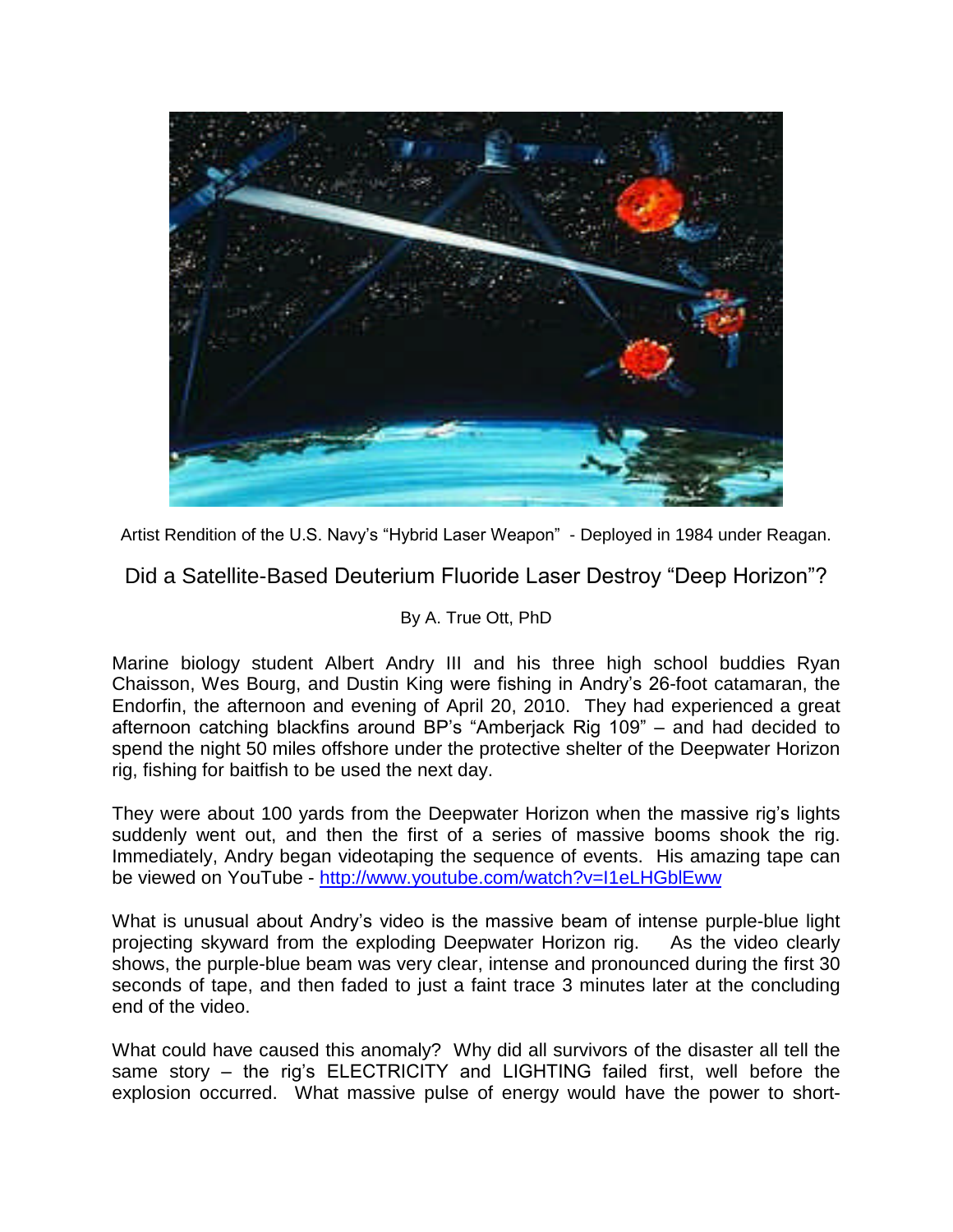

Artist Rendition of the U.S. Navy's "Hybrid Laser Weapon" - Deployed in 1984 under Reagan.

Did a Satellite-Based Deuterium Fluoride Laser Destroy "Deep Horizon"?

### By A. True Ott, PhD

Marine biology student Albert Andry III and his three high school buddies Ryan Chaisson, Wes Bourg, and Dustin King were fishing in Andry's 26-foot catamaran, the Endorfin, the afternoon and evening of April 20, 2010. They had experienced a great afternoon catching blackfins around BP's "Amberjack Rig  $109$ " – and had decided to spend the night 50 miles offshore under the protective shelter of the Deepwater Horizon rig, fishing for baitfish to be used the next day.

They were about 100 yards from the Deepwater Horizon when the massive rig's lights suddenly went out, and then the first of a series of massive booms shook the rig. Immediately, Andry began videotaping the sequence of events. His amazing tape can be viewed on YouTube - http://www.youtube.com/watch?v=I1eLHGblEww

What is unusual about Andry's video is the massive beam of intense purple-blue light projecting skyward from the exploding Deepwater Horizon rig. As the video clearly shows, the purple-blue beam was very clear, intense and pronounced during the first 30 seconds of tape, and then faded to just a faint trace 3 minutes later at the concluding end of the video.

What could have caused this anomaly? Why did all survivors of the disaster all tell the same story  $-$  the rig's ELECTRICITY and LIGHTING failed first, well before the explosion occurred. What massive pulse of energy would have the power to short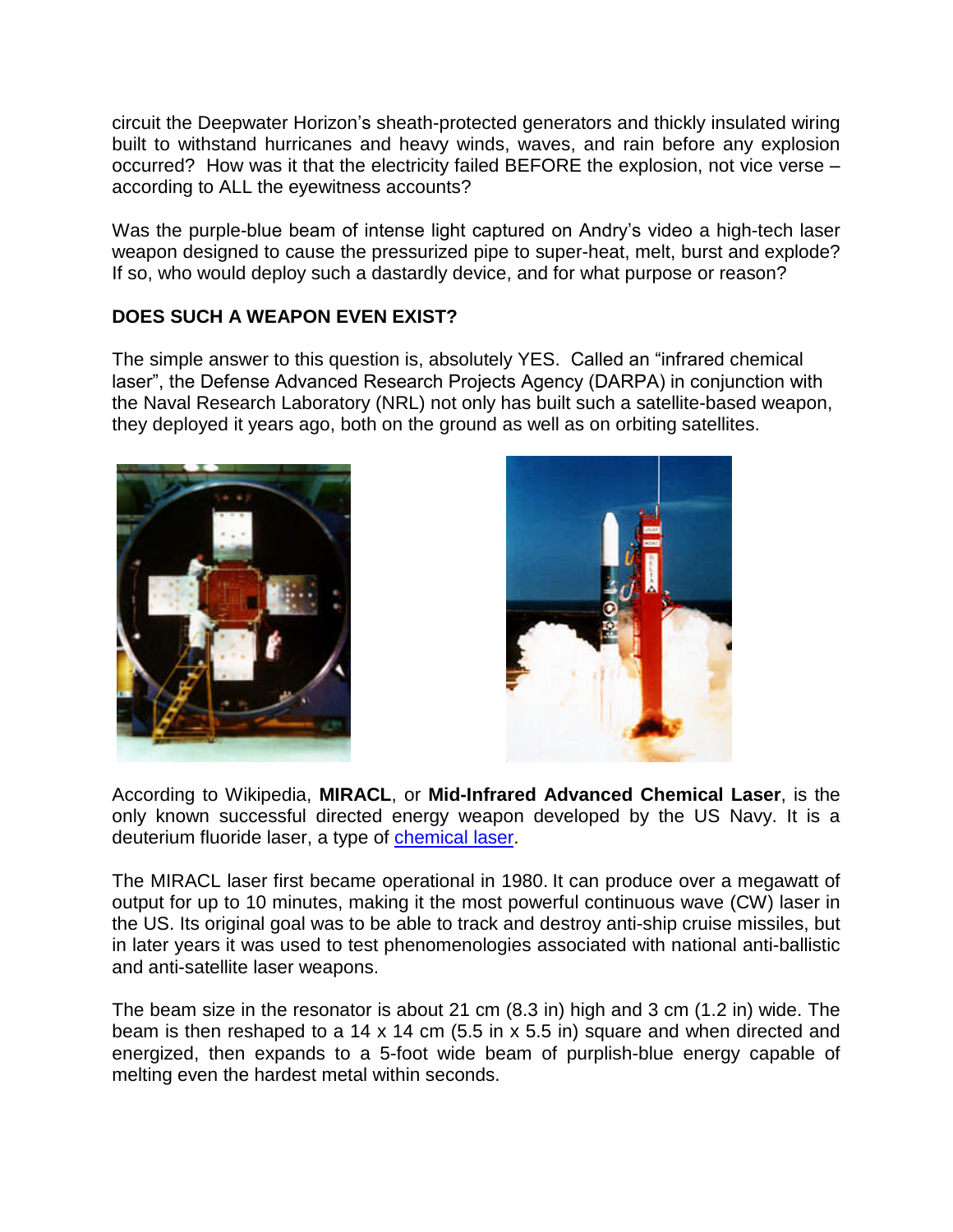circuit the Deepwater Horizon's sheath-protected generators and thickly insulated wiring built to withstand hurricanes and heavy winds, waves, and rain before any explosion occurred? How was it that the electricity failed BEFORE the explosion, not vice verse – according to ALL the eyewitness accounts?

Was the purple-blue beam of intense light captured on Andry's video a high-tech laser weapon designed to cause the pressurized pipe to super-heat, melt, burst and explode? If so, who would deploy such a dastardly device, and for what purpose or reason?

# **DOES SUCH A WEAPON EVEN EXIST?**

The simple answer to this question is, absolutely YES. Called an "infrared chemical laser", the Defense Advanced Research Projects Agency (DARPA) in conjunction with the Naval Research Laboratory (NRL) not only has built such a satellite-based weapon, they deployed it years ago, both on the ground as well as on orbiting satellites.





According to Wikipedia, **MIRACL**, or **Mid-Infrared Advanced Chemical Laser**, is the only known successful directed energy weapon developed by the US Navy. It is a deuterium fluoride laser, a type of chemical laser.

The MIRACL laser first became operational in 1980. It can produce over a megawatt of output for up to 10 minutes, making it the most powerful continuous wave (CW) laser in the US. Its original goal was to be able to track and destroy anti-ship cruise missiles, but in later years it was used to test phenomenologies associated with national anti-ballistic and anti-satellite laser weapons.

The beam size in the resonator is about 21 cm (8.3 in) high and 3 cm (1.2 in) wide. The beam is then reshaped to a 14 x 14 cm (5.5 in x 5.5 in) square and when directed and energized, then expands to a 5-foot wide beam of purplish-blue energy capable of melting even the hardest metal within seconds.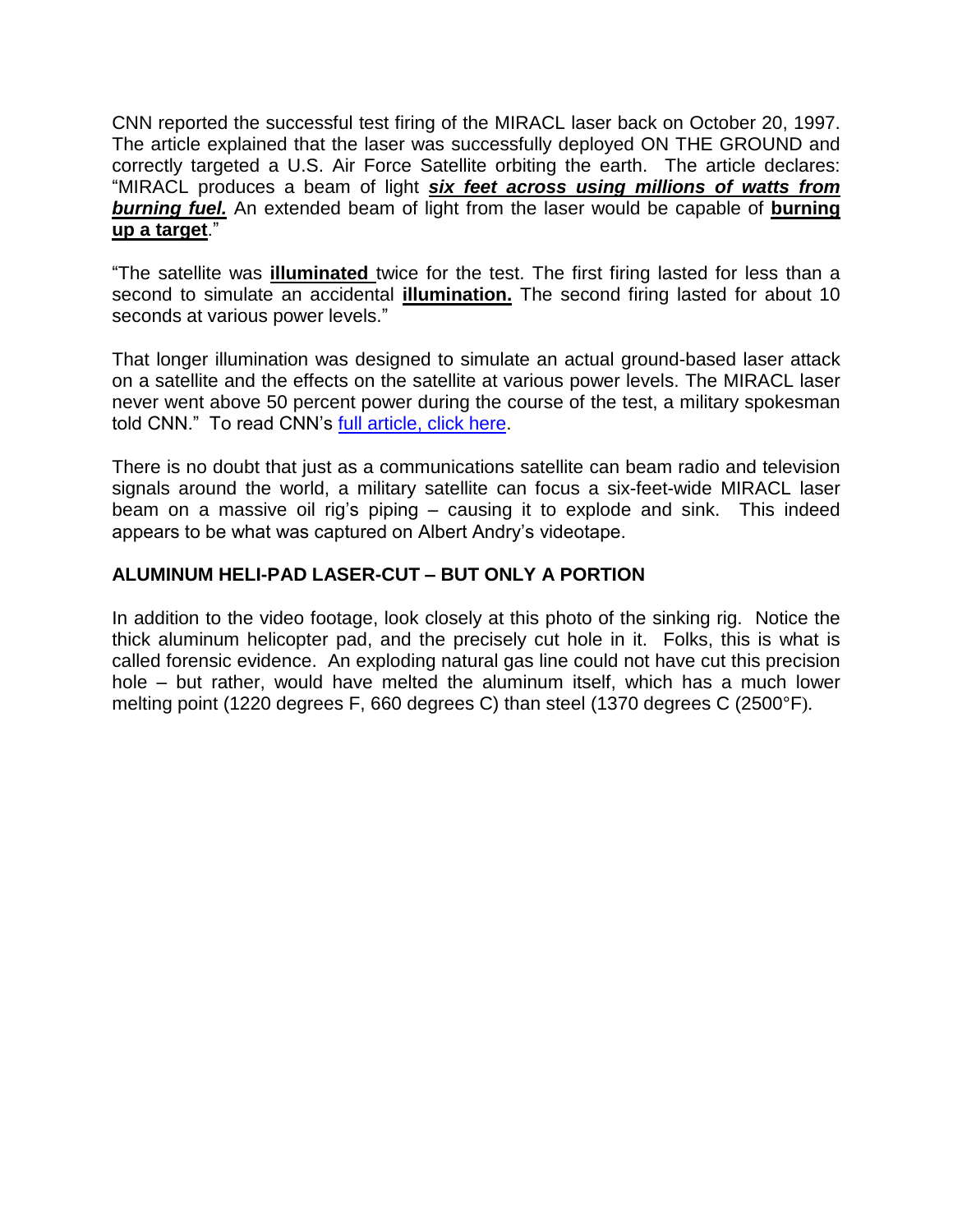CNN reported the successful test firing of the MIRACL laser back on October 20, 1997. The article explained that the laser was successfully deployed ON THE GROUND and correctly targeted a U.S. Air Force Satellite orbiting the earth. The article declares: "MIRACL produces a beam of light *six feet across using millions of watts from burning fuel.* An extended beam of light from the laser would be capable of **burning up a target**."

"The satellite was **illuminated** twice for the test. The first firing lasted for less than a second to simulate an accidental **illumination.** The second firing lasted for about 10 seconds at various power levels."

That longer illumination was designed to simulate an actual ground-based laser attack on a satellite and the effects on the satellite at various power levels. The MIRACL laser never went above 50 percent power during the course of the test, a military spokesman told CNN." To read CNN's full article, click here.

There is no doubt that just as a communications satellite can beam radio and television signals around the world, a military satellite can focus a six-feet-wide MIRACL laser beam on a massive oil rig's piping - causing it to explode and sink. This indeed appears to be what was captured on Albert Andry's videotape.

# **ALUMINUM HELI-PAD LASER-CUT –BUT ONLY A PORTION**

In addition to the video footage, look closely at this photo of the sinking rig. Notice the thick aluminum helicopter pad, and the precisely cut hole in it. Folks, this is what is called forensic evidence. An exploding natural gas line could not have cut this precision hole – but rather, would have melted the aluminum itself, which has a much lower melting point (1220 degrees F, 660 degrees C) than steel (1370 degrees C (2500°F).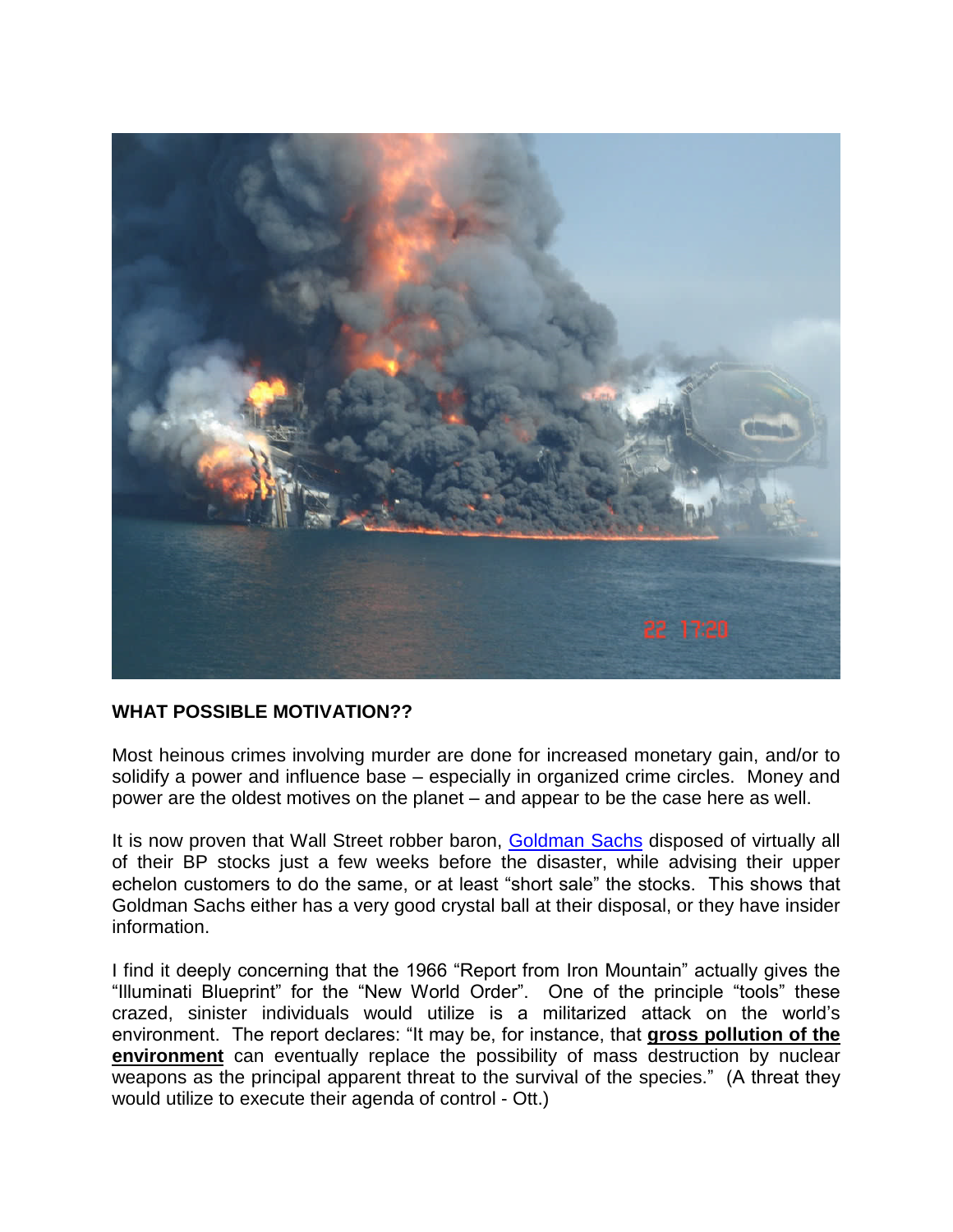

### **WHAT POSSIBLE MOTIVATION??**

Most heinous crimes involving murder are done for increased monetary gain, and/or to solidify a power and influence base – especially in organized crime circles. Money and power are the oldest motives on the planet – and appear to be the case here as well.

It is now proven that Wall Street robber baron, Goldman Sachs disposed of virtually all of their BP stocks just a few weeks before the disaster, while advising their upper echelon customers to do the same, or at least "short sale" the stocks. This shows that Goldman Sachs either has a very good crystal ball at their disposal, or they have insider information.

I find it deeply concerning that the 1966 "Report from Iron Mountain" actually gives the "Illuminati Blueprint" for the "New World Order". One of the principle "tools" these crazed, sinister individuals would utilize is a militarized attack on the world's environment. The report declares: "It may be, for instance, that gross pollution of the **environment** can eventually replace the possibility of mass destruction by nuclear weapons as the principal apparent threat to the survival of the species." (A threat they would utilize to execute their agenda of control - Ott.)